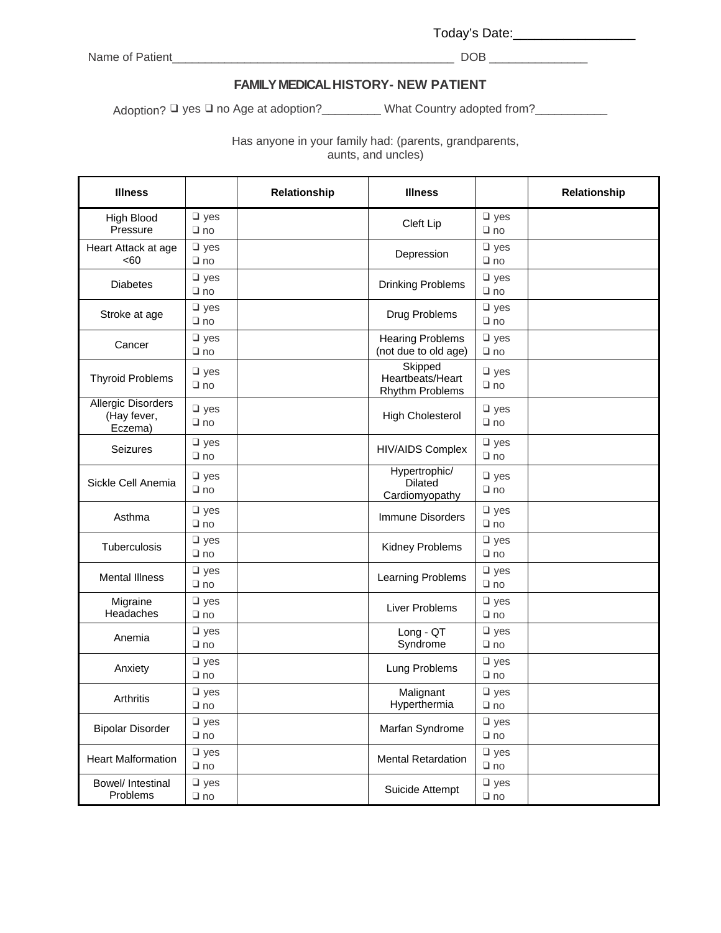Today's Date:\_\_\_\_\_\_\_\_\_\_\_\_\_\_\_\_\_\_\_\_\_\_

Name of Patient\_\_\_\_\_\_\_\_\_\_\_\_\_\_\_\_\_\_\_\_\_\_\_\_\_\_\_\_\_\_\_\_\_\_\_\_\_\_\_\_\_\_\_ DOB \_\_\_\_\_\_\_\_\_\_\_\_\_\_\_

## **FAMILY MEDICAL HISTORY- NEW PATIENT**

Adoption? □ yes □ no Age at adoption?\_\_\_\_\_\_\_\_\_ What Country adopted from?\_\_\_\_\_\_\_\_\_\_\_

Has anyone in your family had: (parents, grandparents,

aunts, and uncles)

| <b>Illness</b>                               |                             | Relationship | <b>Illness</b>                                    |                            | Relationship |  |
|----------------------------------------------|-----------------------------|--------------|---------------------------------------------------|----------------------------|--------------|--|
| <b>High Blood</b><br>Pressure                | $\n  ues\n$<br>$\square$ no |              | Cleft Lip                                         | $\n  ues\n$<br>$\Box$ no   |              |  |
| Heart Attack at age<br><60                   | $\square$ yes<br>$\Box$ no  |              | Depression                                        | $\square$ yes<br>$\Box$ no |              |  |
| <b>Diabetes</b>                              | $\Box$ yes<br>$\Box$ no     |              | Drinking Problems                                 | $\square$ yes<br>$\Box$ no |              |  |
| Stroke at age                                | $\square$ yes<br>$\Box$ no  |              | Drug Problems                                     | $\n  l yes$<br>$\Box$ no   |              |  |
| Cancer                                       | $\square$ yes<br>$\Box$ no  |              | <b>Hearing Problems</b><br>(not due to old age)   | $\Box$ yes<br>$\Box$ no    |              |  |
| <b>Thyroid Problems</b>                      | $\square$ yes<br>$\Box$ no  |              | Skipped<br>Heartbeats/Heart<br>Rhythm Problems    | $\Box$ yes<br>$\Box$ no    |              |  |
| Allergic Disorders<br>(Hay fever,<br>Eczema) | $\n  l yes$<br>$\Box$ no    |              | <b>High Cholesterol</b>                           | $\Box$ yes<br>$\Box$ no    |              |  |
| Seizures                                     | $\square$ yes<br>$\Box$ no  |              | <b>HIV/AIDS Complex</b>                           | $\n  l yes$<br>$\Box$ no   |              |  |
| Sickle Cell Anemia                           | $\n  l yes$<br>$\Box$ no    |              | Hypertrophic/<br><b>Dilated</b><br>Cardiomyopathy | $\n  l yes$<br>$\Box$ no   |              |  |
| Asthma                                       | $\n  l yes$<br>$\Box$ no    |              | Immune Disorders                                  | $\square$ yes<br>$\Box$ no |              |  |
| Tuberculosis                                 | $\n  l yes$<br>$\Box$ no    |              | Kidney Problems                                   | $\n  l yes$<br>$\Box$ no   |              |  |
| <b>Mental Illness</b>                        | $\n  l yes$<br>$\Box$ no    |              | Learning Problems                                 | $\square$ yes<br>$\Box$ no |              |  |
| Migraine<br>Headaches                        | $\square$ yes<br>$\Box$ no  |              | Liver Problems                                    | $\square$ yes<br>$\Box$ no |              |  |
| Anemia                                       | $\square$ yes<br>$\Box$ no  |              | Long - QT<br>Syndrome                             | $\square$ yes<br>$\Box$ no |              |  |
| Anxiety                                      | $\square$ yes<br>$\Box$ no  |              | Lung Problems                                     | $\square$ yes<br>$\Box$ no |              |  |
| Arthritis                                    | $\square$ yes<br>$\Box$ no  |              | Malignant<br>Hyperthermia                         | $\Box$ yes<br>$\Box$ no    |              |  |
| <b>Bipolar Disorder</b>                      | $\square$ yes<br>$\Box$ no  |              | Marfan Syndrome                                   | $\n  ues\n$<br>$\Box$ no   |              |  |
| <b>Heart Malformation</b>                    | $\n  l yes$<br>$\Box$ no    |              | <b>Mental Retardation</b>                         | $\n  l yes$<br>$\Box$ no   |              |  |
| Bowel/ Intestinal<br>Problems                | $\square$ yes<br>$\Box$ no  |              | Suicide Attempt                                   | $\n  l yes$<br>$\Box$ no   |              |  |